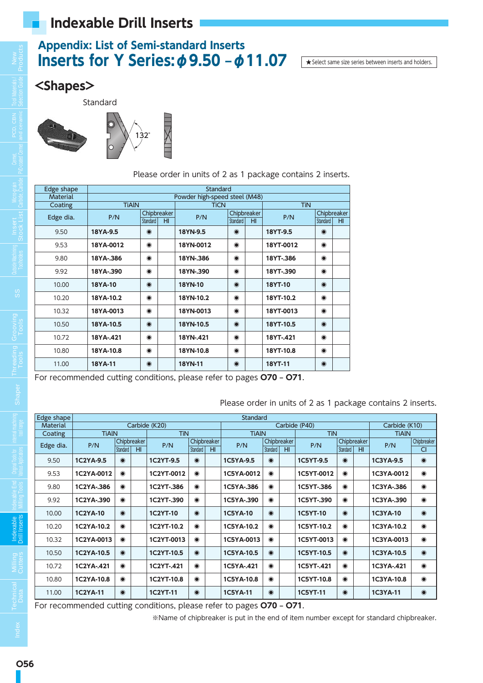### **Appendix: List of Semi-standard Inserts Inserts for Y Series:**  $\phi$  **9.50 –**  $\phi$  **11.07** ★ Select same size series between inserts and holders.

#### **<Shapes>**

Standard



Please order in units of 2 as 1 package contains 2 inserts.

| Edge shape      |              |           |             | Standard                      |                 |             |            |           |                 |
|-----------------|--------------|-----------|-------------|-------------------------------|-----------------|-------------|------------|-----------|-----------------|
| <b>Material</b> |              |           |             | Powder high-speed steel (M48) |                 |             |            |           |                 |
| Coating         | <b>TIAIN</b> |           |             | <b>TiCN</b>                   |                 |             | <b>TiN</b> |           |                 |
| Edge dia.       | P/N          |           | Chipbreaker | P/N                           |                 | Chipbreaker | P/N        |           | Chipbreaker     |
|                 |              | Standard  | HI          |                               | <b>Standard</b> | HI          |            | Standard  | H <sub>II</sub> |
| 9.50            | 18YA-9.5     | $\odot$   |             | 18YN-9.5                      | $\odot$         |             | 18YT-9.5   | $\odot$   |                 |
| 9.53            | 18YA-0012    | $\bullet$ |             | 18YN-0012                     | $\bullet$       |             | 18YT-0012  | $\bullet$ |                 |
| 9.80            | 18YA-.386    | $\bullet$ |             | 18YN-.386                     | $\bullet$       |             | 18YT-.386  | $\bullet$ |                 |
| 9.92            | 18YA-.390    | $\bullet$ |             | 18YN-.390                     | $\bullet$       |             | 18YT-.390  | $\odot$   |                 |
| 10.00           | 18YA-10      | $\bullet$ |             | <b>18YN-10</b>                | $\odot$         |             | 18YT-10    | $\odot$   |                 |
| 10.20           | 18YA-10.2    | $\bullet$ |             | 18YN-10.2                     | $\bullet$       |             | 18YT-10.2  | $\odot$   |                 |
| 10.32           | 18YA-0013    | $\bullet$ |             | 18YN-0013                     | $\bullet$       |             | 18YT-0013  | $\odot$   |                 |
| 10.50           | 18YA-10.5    | $\odot$   |             | 18YN-10.5                     | $\odot$         |             | 18YT-10.5  | $\odot$   |                 |
| 10.72           | 18YA-.421    | $\bullet$ |             | 18YN-.421                     | $\bullet$       |             | 18YT-.421  | $\odot$   |                 |
| 10.80           | 18YA-10.8    | $\bullet$ |             | 18YN-10.8                     | $\bullet$       |             | 18YT-10.8  | $\bullet$ |                 |
| 11.00           | 18YA-11      | $\bullet$ |             | 18YN-11                       | $\bullet$       |             | 18YT-11    | $\odot$   |                 |

For recommended cutting conditions, please refer to pages **O70 – O71**.

Please order in units of 2 as 1 package contains 2 inserts.

| Edge shape      |                 |             |    |                 |           |                 | <b>Standard</b> |           |             |                 |             |                 |                 |                    |
|-----------------|-----------------|-------------|----|-----------------|-----------|-----------------|-----------------|-----------|-------------|-----------------|-------------|-----------------|-----------------|--------------------|
| <b>Material</b> |                 |             |    | Carbide (K20)   |           |                 |                 |           |             | Carbide (P40)   |             |                 | Carbide (K10)   |                    |
| Coating         | <b>TiAIN</b>    |             |    | <b>TiN</b>      |           |                 | <b>TiAIN</b>    |           |             | <b>TiN</b>      |             |                 | <b>TiAIN</b>    |                    |
| Edge dia.       | P/N             | Chipbreaker |    | P/N             |           | Chipbreaker     | P/N             |           | Chipbreaker | P/N             | Chipbreaker |                 | P/N             | <b>Chipbreaker</b> |
|                 |                 | Standard    | HI |                 | Standard  | H <sub>II</sub> |                 | Standard  | HI          |                 | Standard    | H <sub>II</sub> |                 | <b>CI</b>          |
| 9.50            | 1C2YA-9.5       | $\odot$     |    | 1C2YT-9.5       | $\bullet$ |                 | 1C5YA-9.5       | $\odot$   |             | 1C5YT-9.5       | $\odot$     |                 | 1C3YA-9.5       | $\odot$            |
| 9.53            | 1C2YA-0012      | $\odot$     |    | 1C2YT-0012      | $\bullet$ |                 | 1C5YA-0012      | $\bullet$ |             | 1C5YT-0012      | $\odot$     |                 | 1C3YA-0012      | $\bullet$          |
| 9.80            | 1C2YA-.386      | $\bullet$   |    | 1C2YT-.386      | $\bullet$ |                 | 1C5YA-.386      | $\odot$   |             | 1C5YT-.386      | $\odot$     |                 | 1C3YA-.386      | $\bullet$          |
| 9.92            | 1C2YA-.390      | $\bullet$   |    | 1C2YT-.390      | $\bullet$ |                 | 1C5YA-.390      | $\bullet$ |             | 1C5YT-.390      | $\odot$     |                 | 1C3YA-.390      | $\bullet$          |
| 10.00           | <b>1C2YA-10</b> | $\bullet$   |    | <b>1C2YT-10</b> | $\bullet$ |                 | <b>1C5YA-10</b> | $\odot$   |             | <b>1C5YT-10</b> | $\odot$     |                 | <b>1C3YA-10</b> | $\bullet$          |
| 10.20           | 1C2YA-10.2      | $\odot$     |    | 1C2YT-10.2      | $\bullet$ |                 | 1C5YA-10.2      | $\bullet$ |             | 1C5YT-10.2      | $\odot$     |                 | 1C3YA-10.2      | $\bullet$          |
| 10.32           | 1C2YA-0013      | $\bullet$   |    | 1C2YT-0013      | $\bullet$ |                 | 1C5YA-0013      | $\bullet$ |             | 1C5YT-0013      | $\odot$     |                 | 1C3YA-0013      | $\bullet$          |
| 10.50           | 1C2YA-10.5      | $\odot$     |    | 1C2YT-10.5      | $\bullet$ |                 | 1C5YA-10.5      | $\odot$   |             | 1C5YT-10.5      | $\odot$     |                 | 1C3YA-10.5      | $\bullet$          |
| 10.72           | 1C2YA-.421      | $\bullet$   |    | 1C2YT-.421      | $\odot$   |                 | 1C5YA-.421      | $\odot$   |             | 1C5YT-.421      | $\odot$     |                 | 1C3YA-.421      | $\bullet$          |
| 10.80           | 1C2YA-10.8      | $\bullet$   |    | 1C2YT-10.8      | $\bullet$ |                 | 1C5YA-10.8      | $\bullet$ |             | 1C5YT-10.8      | $\odot$     |                 | 1C3YA-10.8      | $\bullet$          |
| 11.00           | <b>1C2YA-11</b> | $\bullet$   |    | <b>1C2YT-11</b> | $\bullet$ |                 | <b>1C5YA-11</b> | $\odot$   |             | <b>1C5YT-11</b> | $\odot$     |                 | 1C3YA-11        | $\odot$            |

For recommended cutting conditions, please refer to pages **O70 – O71**.

※Name of chipbreaker is put in the end of item number except for standard chipbreaker.

**SS**

**Technical**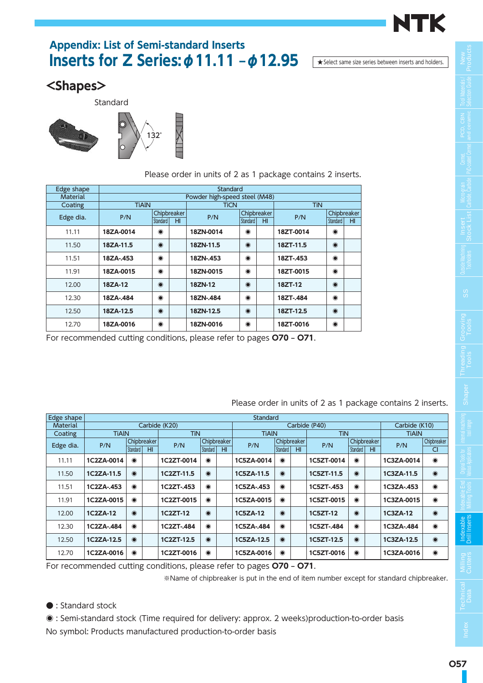

# **Appendix: List of Semi-standard Inserts Inserts for Z Series:**  $\phi$  **11.11 –**  $\phi$  **12.95** Asselect same size series between inserts and holders.

#### **<Shapes>**

Standard



|                 |                      |             |    | Please order in units of 2 as 1 package contains 2 inserts. |             |    |            |             |     |
|-----------------|----------------------|-------------|----|-------------------------------------------------------------|-------------|----|------------|-------------|-----|
| Edge shape      |                      |             |    | Standard                                                    |             |    |            |             |     |
| <b>Material</b> |                      |             |    | Powder high-speed steel (M48)                               |             |    |            |             |     |
| Coating         | <b>TiAIN</b>         |             |    | <b>TiCN</b>                                                 |             |    | <b>TiN</b> |             |     |
| Edge dia.       | P/N                  | Chipbreaker |    | P/N                                                         | Chipbreaker |    | P/N        | Chipbreaker |     |
|                 |                      | Standard    | HI |                                                             | Standard    | HI |            | Standard    | HI. |
| 11.11           | 18ZA-0014            | $\bullet$   |    | 18ZN-0014                                                   | $\bullet$   |    | 18ZT-0014  | $\odot$     |     |
| 11.50           | 18ZA-11.5            | $\odot$     |    | 18ZN-11.5                                                   | $\odot$     |    | 18ZT-11.5  | $\odot$     |     |
| 11.51           | 18ZA-.453            | $\odot$     |    | 18ZN-.453                                                   | $\bullet$   |    | 18ZT-.453  | $\odot$     |     |
| 11.91           | 18ZA-0015            | $\odot$     |    | 18ZN-0015                                                   | $\bullet$   |    | 18ZT-0015  | $\odot$     |     |
| 12.00           | 18ZA-12              | $\odot$     |    | 18ZN-12                                                     | $\odot$     |    | 18ZT-12    | $\odot$     |     |
| 12.30           | 18ZA-.484            | $\odot$     |    | 18ZN-.484                                                   | $\odot$     |    | 18ZT-.484  | $\odot$     |     |
| 12.50           | $\odot$<br>18ZA-12.5 |             |    | 18ZN-12.5                                                   | $\odot$     |    | 18ZT-12.5  | $\odot$     |     |
| 12.70           | 18ZA-0016            | $\bullet$   |    | 18ZN-0016                                                   | $\bullet$   |    | 18ZT-0016  | $\odot$     |     |

For recommended cutting conditions, please refer to pages **O70 – O71**.

| Edge shape |              |           |                          |               |             |    | Standard     |             |                 |               |             |                 |               |             |
|------------|--------------|-----------|--------------------------|---------------|-------------|----|--------------|-------------|-----------------|---------------|-------------|-----------------|---------------|-------------|
| Material   |              |           |                          | Carbide (K20) |             |    |              |             |                 | Carbide (P40) |             |                 | Carbide (K10) |             |
| Coating    | <b>TiAIN</b> |           |                          | TiN           |             |    | <b>TIAIN</b> |             |                 | TiN           |             |                 | <b>TIAIN</b>  |             |
| Edge dia.  | P/N          |           | Chipbreaker <sup>1</sup> | P/N           | Chipbreaker |    | P/N          | Chipbreaker |                 | P/N           | Chipbreaker |                 | P/N           | Chipbreaker |
|            |              | Standard  | H <sub>II</sub>          |               | Standard    | HI |              | Standard    | H <sub>II</sub> |               | Standard    | H <sub>II</sub> |               | CI          |
| 11.11      | 1C2ZA-0014   | $\bullet$ |                          | 1C2ZT-0014    | $\bullet$   |    | 1C5ZA-0014   | $\odot$     |                 | 1C5ZT-0014    | $\odot$     |                 | 1C3ZA-0014    | $\bullet$   |
| 11.50      | 1C2ZA-11.5   | $\odot$   |                          | 1C2ZT-11.5    | $\odot$     |    | 1C5ZA-11.5   | $\odot$     |                 | 1C5ZT-11.5    | $\odot$     |                 | 1C3ZA-11.5    | $\odot$     |
| 11.51      | 1C2ZA-.453   | $\odot$   |                          | 1C2ZT-.453    | $\odot$     |    | 1C5ZA-.453   | $\odot$     |                 | 1C5ZT-.453    | $\odot$     |                 | 1C3ZA-.453    | $\odot$     |
| 11.91      | 1C2ZA-0015   | $\bullet$ |                          | 1C2ZT-0015    | $\bullet$   |    | 1C5ZA-0015   | $\odot$     |                 | 1C5ZT-0015    | $\odot$     |                 | 1C3ZA-0015    | $\bullet$   |
| 12.00      | 1C2ZA-12     | $\odot$   |                          | 1C2ZT-12      | $\odot$     |    | 1C5ZA-12     | $\odot$     |                 | 1C5ZT-12      | $\odot$     |                 | 1C3ZA-12      | $\odot$     |
| 12.30      | 1C2ZA-.484   | $\odot$   |                          | 1C2ZT-.484    | $\odot$     |    | 1C5ZA-.484   | $\odot$     |                 | 1C5ZT-.484    | $\odot$     |                 | 1C3ZA-.484    | $\odot$     |
| 12.50      | 1C2ZA-12.5   | $\odot$   |                          | 1C2ZT-12.5    | $\odot$     |    | 1C5ZA-12.5   | $\odot$     |                 | 1C5ZT-12.5    | $\odot$     |                 | 1C3ZA-12.5    | $\odot$     |
| 12.70      | 1C2ZA-0016   | $\odot$   |                          | 1C2ZT-0016    | $\odot$     |    | 1C5ZA-0016   | $\odot$     |                 | 1C5ZT-0016    | $\odot$     |                 | 1C3ZA-0016    | $\bullet$   |

Please order in units of 2 as 1 package contains 2 inserts.

For recommended cutting conditions, please refer to pages **O70 – O71**.

※Name of chipbreaker is put in the end of item number except for standard chipbreaker.

● : Standard stock

◉ : Semi-standard stock (Time required for delivery: approx. 2 weeks)production-to-order basis No symbol: Products manufactured production-to-order basis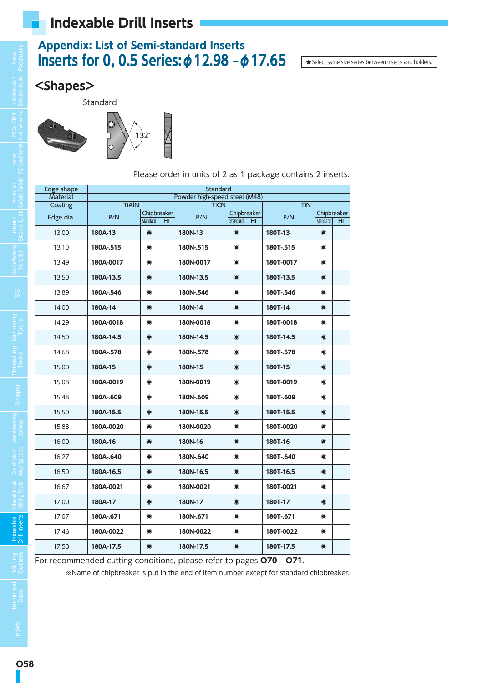### **Appendix: List of Semi-standard Inserts Inserts for 0, 0.5 Series:φ12.98 –φ17.65**

★Select same size series between inserts and holders.

#### **<Shapes>**

Standard



Edge shape Standard Material Powder high-speed steel (M48)<br>
Coating TiAIN TiCN TICN Coating | TiAlN | TiCN | TiAln Edge dia. P/N Chipbreaker P/N Chipbreaker P/N Chipbreaker P/N Chipbreaker Standard | HI | Standard | HI | Standard | HI | Standard | HI 13.00 **180A-13** ◉ **180N-13** ◉ **180T-13** ◉ 13.10 **180A-.515** ◉ **180N-.515** ◉ **180T-.515** ◉ 13.49 **180A-0017** ◉ **180N-0017** ◉ **180T-0017** ◉ 13.50 **180A-13.5** ◉ **180N-13.5** ◉ **180T-13.5** ◉ 13.89 **180A-.546** ◉ **180N-.546** ◉ **180T-.546** ◉ 14.00 **180A-14** ◉ **180N-14** ◉ **180T-14** ◉ 14.29 **180A-0018** ◉ **180N-0018** ◉ **180T-0018** ◉ 14.50 **180A-14.5** ◉ **180N-14.5** ◉ **180T-14.5** ◉ 14.68 **180A-.578** ◉ **180N-.578** ◉ **180T-.578** ◉ 15.00 **180A-15** ◉ **180N-15** ◉ **180T-15** ◉ 15.08 **180A-0019** ◉ **180N-0019** ◉ **180T-0019** ◉ 15.48 **180A-.609** ◉ **180N-.609** ◉ **180T-.609** ◉ 15.50 **180A-15.5** ◉ **180N-15.5** ◉ **180T-15.5** ◉ 15.88 **180A-0020** ◉ **180N-0020** ◉ **180T-0020** ◉ 16.00 **180A-16** ◉ **180N-16** ◉ **180T-16** ◉ 16.27 **180A-.640** ◉ **180N-.640** ◉ **180T-.640** ◉ 16.50 **180A-16.5** ◉ **180N-16.5** ◉ **180T-16.5** ◉ 16.67 **180A-0021** ◉ **180N-0021** ◉ **180T-0021** ◉ 17.00 **180A-17** ◉ **180N-17** ◉ **180T-17** ◉ 17.07 **180A-.671** ◉ **180N-.671** ◉ **180T-.671** ◉ 17.46 **180A-0022** ◉ **180N-0022** ◉ **180T-0022** ◉ 17.50 **180A-17.5** ◉ **180N-17.5** ◉ **180T-17.5** ◉

Please order in units of 2 as 1 package contains 2 inserts.

For recommended cutting conditions, please refer to pages **O70 – O71**.

※Name of chipbreaker is put in the end of item number except for standard chipbreaker.

**Technical Data**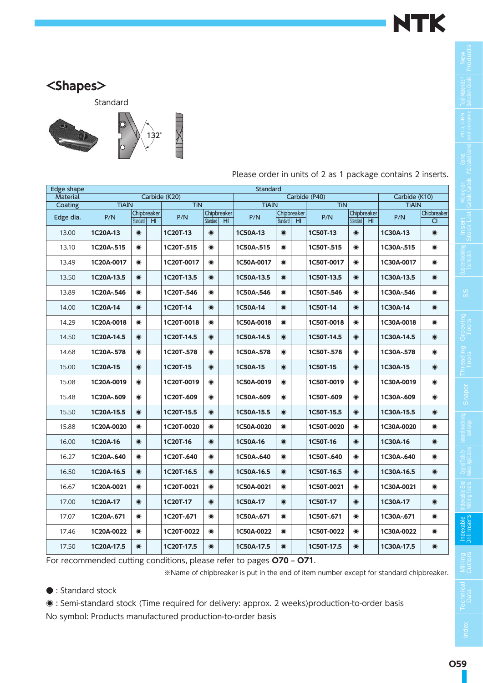

### **<Shapes>**

Standard



| Edge shape      |              |                         |                 |               |                         |    | Standard     |           |                                |               |           |                                |               |                   |
|-----------------|--------------|-------------------------|-----------------|---------------|-------------------------|----|--------------|-----------|--------------------------------|---------------|-----------|--------------------------------|---------------|-------------------|
| <b>Material</b> |              |                         |                 | Carbide (K20) |                         |    |              |           |                                | Carbide (P40) |           |                                | Carbide (K10) |                   |
| Coating         | <b>TiAIN</b> |                         |                 | <b>TiN</b>    |                         |    | <b>TiAIN</b> |           |                                | <b>TiN</b>    |           |                                | <b>TiAIN</b>  |                   |
| Edge dia.       | P/N          | Chipbreaker<br>Standard | H <sub>II</sub> | P/N           | Chipbreaker<br>Standard | HI | P/N          | Standard  | Chipbreaker<br>H <sub>II</sub> | P/N           | Standard  | Chipbreaker<br>H <sub>II</sub> | P/N           | Chipbreaker<br>CI |
| 13.00           | 1C20A-13     | $\bullet$               |                 | 1C20T-13      | $\odot$                 |    | 1C50A-13     | $\odot$   |                                | 1C50T-13      | $\odot$   |                                | 1C30A-13      | $\bullet$         |
| 13.10           | 1C20A-.515   | $\bullet$               |                 | 1C20T-.515    | $\bullet$               |    | 1C50A-.515   | $\bullet$ |                                | 1C50T-.515    | $\bullet$ |                                | 1C30A-.515    | $\bullet$         |
| 13.49           | 1C20A-0017   | $\bullet$               |                 | 1C20T-0017    | $\bullet$               |    | 1C50A-0017   | $\bullet$ |                                | 1C50T-0017    | $\bullet$ |                                | 1C30A-0017    | $\bullet$         |
| 13.50           | 1C20A-13.5   | $\bullet$               |                 | 1C20T-13.5    | $\odot$                 |    | 1C50A-13.5   | $\bullet$ |                                | 1C50T-13.5    | $\odot$   |                                | 1C30A-13.5    | $\odot$           |
| 13.89           | 1C20A-.546   | $\bullet$               |                 | 1C20T-.546    | $\bullet$               |    | 1C50A-.546   | $\bullet$ |                                | 1C50T-.546    | $\bullet$ |                                | 1C30A-.546    | $\bullet$         |
| 14.00           | 1C20A-14     | $\bullet$               |                 | 1C20T-14      | $\odot$                 |    | 1C50A-14     | $\bullet$ |                                | 1C50T-14      | $\odot$   |                                | 1C30A-14      | $\odot$           |
| 14.29           | 1C20A-0018   | $\bullet$               |                 | 1C20T-0018    | $\bullet$               |    | 1C50A-0018   | $\bullet$ |                                | 1C50T-0018    | $\bullet$ |                                | 1C30A-0018    | $\bullet$         |
| 14.50           | 1C20A-14.5   | $\odot$                 |                 | 1C20T-14.5    | $\odot$                 |    | 1C50A-14.5   | $\bullet$ |                                | 1C50T-14.5    | $\odot$   |                                | 1C30A-14.5    | $\odot$           |
| 14.68           | 1C20A-.578   | $\odot$                 |                 | 1C20T-.578    | $\bullet$               |    | 1C50A-.578   | $\bullet$ |                                | 1C50T-.578    | $\bullet$ |                                | 1C30A-.578    | $\bullet$         |
| 15.00           | 1C20A-15     | $\bullet$               |                 | 1C20T-15      | $\odot$                 |    | 1C50A-15     | $\bullet$ |                                | 1C50T-15      | $\odot$   |                                | 1C30A-15      | $\odot$           |
| 15.08           | 1C20A-0019   | $\odot$                 |                 | 1C20T-0019    | $\bullet$               |    | 1C50A-0019   | $\bullet$ |                                | 1C50T-0019    | $\bullet$ |                                | 1C30A-0019    | $\bullet$         |
| 15.48           | 1C20A-.609   | $\bullet$               |                 | 1C20T-.609    | $\bullet$               |    | 1C50A-.609   | $\bullet$ |                                | 1C50T-.609    | $\bullet$ |                                | 1C30A-.609    | $\bullet$         |
| 15.50           | 1C20A-15.5   | $\bullet$               |                 | 1C20T-15.5    | $\odot$                 |    | 1C50A-15.5   | $\bullet$ |                                | 1C50T-15.5    | $\odot$   |                                | 1C30A-15.5    | $\bullet$         |
| 15.88           | 1C20A-0020   | $\bullet$               |                 | 1C20T-0020    | $\bullet$               |    | 1C50A-0020   | $\bullet$ |                                | 1C50T-0020    | $\bullet$ |                                | 1C30A-0020    | $\bullet$         |
| 16.00           | 1C20A-16     | $\bullet$               |                 | 1C20T-16      | $\odot$                 |    | 1C50A-16     | $\bullet$ |                                | 1C50T-16      | $\odot$   |                                | 1C30A-16      | $\odot$           |
| 16.27           | 1C20A-.640   | $\bullet$               |                 | 1C20T-.640    | $\bullet$               |    | 1C50A-.640   | $\bullet$ |                                | 1C50T-.640    | $\bullet$ |                                | 1C30A-.640    | $\bullet$         |
| 16.50           | 1C20A-16.5   | $\bullet$               |                 | 1C20T-16.5    | $\bullet$               |    | 1C50A-16.5   | $\bullet$ |                                | 1C50T-16.5    | $\odot$   |                                | 1C30A-16.5    | $\bullet$         |
| 16.67           | 1C20A-0021   | $\bullet$               |                 | 1C20T-0021    | $\bullet$               |    | 1C50A-0021   | $\bullet$ |                                | 1C50T-0021    | $\bullet$ |                                | 1C30A-0021    | $\bullet$         |
| 17.00           | 1C20A-17     | $\bullet$               |                 | 1C20T-17      | $\bullet$               |    | 1C50A-17     | $\bullet$ |                                | 1C50T-17      | $\odot$   |                                | 1C30A-17      | $\bullet$         |
| 17.07           | 1C20A-.671   | $\bullet$               |                 | 1C20T-.671    | $\bullet$               |    | 1C50A-.671   | $\bullet$ |                                | 1C50T-.671    | $\bullet$ |                                | 1C30A-.671    | $\bullet$         |
| 17.46           | 1C20A-0022   | $\odot$                 |                 | 1C20T-0022    | $\odot$                 |    | 1C50A-0022   | $\bullet$ |                                | 1C50T-0022    | $\odot$   |                                | 1C30A-0022    | $\bullet$         |
| 17.50           | 1C20A-17.5   | $\bullet$               |                 | 1C20T-17.5    | $\odot$                 |    | 1C50A-17.5   | $\bullet$ |                                | 1C50T-17.5    | $\odot$   |                                | 1C30A-17.5    | $\bullet$         |

Please order in units of 2 as 1 package contains 2 inserts.

For recommended cutting conditions, please refer to pages **O70 – O71**.

※Name of chipbreaker is put in the end of item number except for standard chipbreaker.

● : Standard stock

◉ : Semi-standard stock (Time required for delivery: approx. 2 weeks)production-to-order basis No symbol: Products manufactured production-to-order basis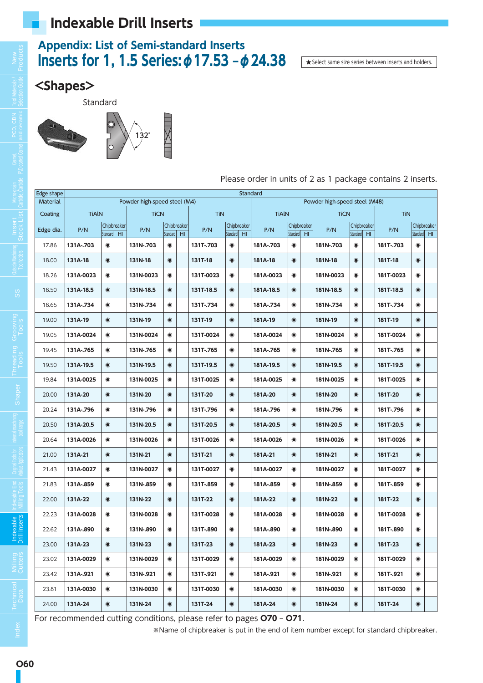### **Appendix: List of Semi-standard Inserts Inserts for 1, 1.5 Series:φ17.53 –φ24.38**

★Select same size series between inserts and holders.

### **<Shapes>**

Standard



Please order in units of 2 as 1 package contains 2 inserts.

| Edge shape      |              |           |                                |                              |                 |                                |            |           |                                | <b>Standard</b> |                                |                 |                               |           |                                |            |           |                                |
|-----------------|--------------|-----------|--------------------------------|------------------------------|-----------------|--------------------------------|------------|-----------|--------------------------------|-----------------|--------------------------------|-----------------|-------------------------------|-----------|--------------------------------|------------|-----------|--------------------------------|
| <b>Material</b> |              |           |                                | Powder high-speed steel (M4) |                 |                                |            |           |                                |                 |                                |                 | Powder high-speed steel (M48) |           |                                |            |           |                                |
| Coating         | <b>TiAIN</b> |           |                                | <b>TiCN</b>                  |                 |                                | <b>TiN</b> |           |                                | <b>TiAIN</b>    |                                |                 | <b>TiCN</b>                   |           |                                | <b>TiN</b> |           |                                |
| Edge dia.       | P/N          | Standard  | Chipbreaker<br>H <sub>II</sub> | P/N                          | <b>Standard</b> | Chipbreaker<br>H <sub>II</sub> | P/N        | Standard  | Chipbreaker<br>H <sub>II</sub> | P/N             | Chipbreaker<br><b>Standard</b> | H <sub>II</sub> | P/N                           | Standard  | Chipbreaker<br>H <sub>II</sub> | P/N        | Standard  | Chipbreaker<br>H <sub>II</sub> |
| 17.86           | 131A-.703    | $\bullet$ |                                | 131N-.703                    | $\bullet$       |                                | 131T-.703  | $\bullet$ |                                | 181A-.703       | $\bullet$                      |                 | 181N-.703                     | $\bullet$ |                                | 181T-.703  | $\bullet$ |                                |
| 18.00           | 131A-18      | $\bullet$ |                                | 131N-18                      | $\odot$         |                                | 131T-18    | $\odot$   |                                | 181A-18         | $\bullet$                      |                 | 181N-18                       | $\odot$   |                                | 181T-18    | $\odot$   |                                |
| 18.26           | 131A-0023    | $\bullet$ |                                | 131N-0023                    | $\bullet$       |                                | 131T-0023  | $\bullet$ |                                | 181A-0023       | $\bullet$                      |                 | 181N-0023                     | $\bullet$ |                                | 181T-0023  | $\bullet$ |                                |
| 18.50           | 131A-18.5    | $\bullet$ |                                | 131N-18.5                    | $\odot$         |                                | 131T-18.5  | $\bullet$ |                                | 181A-18.5       | $\bullet$                      |                 | 181N-18.5                     | $\odot$   |                                | 181T-18.5  | $\bullet$ |                                |
| 18.65           | 131A-.734    | $\bullet$ |                                | 131N-.734                    | $\bullet$       |                                | 131T-.734  | $\bullet$ |                                | 181A-.734       | $\bullet$                      |                 | 181N-.734                     | $\bullet$ |                                | 181T-.734  | $\odot$   |                                |
| 19.00           | 131A-19      | $\bullet$ |                                | 131N-19                      | $\odot$         |                                | 131T-19    | $\odot$   |                                | 181A-19         | $\bullet$                      |                 | 181N-19                       | $\odot$   |                                | 181T-19    | $\odot$   |                                |
| 19.05           | 131A-0024    | $\bullet$ |                                | 131N-0024                    | $\bullet$       |                                | 131T-0024  | $\bullet$ |                                | 181A-0024       | $\bullet$                      |                 | 181N-0024                     | $\bullet$ |                                | 181T-0024  | $\bullet$ |                                |
| 19.45           | 131A-.765    | $\bullet$ |                                | 131N-.765                    | $\bullet$       |                                | 131T-.765  | $\bullet$ |                                | 181A-.765       | $\bullet$                      |                 | 181N-.765                     | $\bullet$ |                                | 181T-.765  | $\bullet$ |                                |
| 19.50           | 131A-19.5    | $\bullet$ |                                | 131N-19.5                    | $\odot$         |                                | 131T-19.5  | $\bullet$ |                                | 181A-19.5       | $\bullet$                      |                 | 181N-19.5                     | $\bullet$ |                                | 181T-19.5  | $\bullet$ |                                |
| 19.84           | 131A-0025    | $\bullet$ |                                | 131N-0025                    | $\bullet$       |                                | 131T-0025  | $\bullet$ |                                | 181A-0025       | $\bullet$                      |                 | 181N-0025                     | $\odot$   |                                | 181T-0025  | $\bullet$ |                                |
| 20.00           | 131A-20      | $\bullet$ |                                | 131N-20                      | $\odot$         |                                | 131T-20    | $\odot$   |                                | 181A-20         | $\bullet$                      |                 | 181N-20                       | $\odot$   |                                | 181T-20    | $\odot$   |                                |
| 20.24           | 131A-.796    | $\bullet$ |                                | 131N-.796                    | $\bullet$       |                                | 131T-.796  | $\bullet$ |                                | 181A-.796       | $\bullet$                      |                 | 181N-.796                     | $\bullet$ |                                | 181T-.796  | $\bullet$ |                                |
| 20.50           | 131A-20.5    | $\bullet$ |                                | 131N-20.5                    | $\odot$         |                                | 131T-20.5  | $\odot$   |                                | 181A-20.5       | $\bullet$                      |                 | 181N-20.5                     | $\odot$   |                                | 181T-20.5  | $\bullet$ |                                |
| 20.64           | 131A-0026    | $\bullet$ |                                | 131N-0026                    | $\bullet$       |                                | 131T-0026  | $\bullet$ |                                | 181A-0026       | $\bullet$                      |                 | 181N-0026                     | $\bullet$ |                                | 181T-0026  | $\bullet$ |                                |
| 21.00           | 131A-21      | $\bullet$ |                                | 131N-21                      | $\odot$         |                                | 131T-21    | $\odot$   |                                | 181A-21         | $\bullet$                      |                 | 181N-21                       | $\odot$   |                                | 181T-21    | $\odot$   |                                |
| 21.43           | 131A-0027    | $\bullet$ |                                | 131N-0027                    | $\bullet$       |                                | 131T-0027  | $\bullet$ |                                | 181A-0027       | $\bullet$                      |                 | 181N-0027                     | $\bullet$ |                                | 181T-0027  | $\bullet$ |                                |
| 21.83           | 131A-.859    | $\bullet$ |                                | 131N-.859                    | $\bullet$       |                                | 131T-.859  | $\bullet$ |                                | 181A-.859       | $\bullet$                      |                 | 181N-.859                     | $\bullet$ |                                | 181T-.859  | $\bullet$ |                                |
| 22.00           | 131A-22      | $\bullet$ |                                | 131N-22                      | $\odot$         |                                | 131T-22    | $\odot$   |                                | 181A-22         | $\bullet$                      |                 | 181N-22                       | $\odot$   |                                | 181T-22    | $\odot$   |                                |
| 22.23           | 131A-0028    | $\bullet$ |                                | 131N-0028                    | $\bullet$       |                                | 131T-0028  | $\odot$   |                                | 181A-0028       | $\bullet$                      |                 | 181N-0028                     | $\bullet$ |                                | 181T-0028  | $\bullet$ |                                |
| 22.62           | 131A-.890    | $\bullet$ |                                | 131N-.890                    | $\bullet$       |                                | 131T-.890  | $\bullet$ |                                | 181A-.890       | $\bullet$                      |                 | 181N-.890                     | $\bullet$ |                                | 181T-.890  | $\bullet$ |                                |
| 23.00           | 131A-23      | $\bullet$ |                                | 131N-23                      | $\odot$         |                                | 131T-23    | $\odot$   |                                | 181A-23         | $\bullet$                      |                 | 181N-23                       | $\bullet$ |                                | 181T-23    | $\bullet$ |                                |
| 23.02           | 131A-0029    | $\bullet$ |                                | 131N-0029                    | $\bullet$       |                                | 131T-0029  | $\bullet$ |                                | 181A-0029       | $\bullet$                      |                 | 181N-0029                     | $\bullet$ |                                | 181T-0029  | $\bullet$ |                                |
| 23.42           | 131A-.921    | $\bullet$ |                                | 131N-.921                    | $\bullet$       |                                | 131T-.921  | $\odot$   |                                | 181A-.921       | $\bullet$                      |                 | 181N-.921                     | $\bullet$ |                                | 181T-.921  | $\bullet$ |                                |
| 23.81           | 131A-0030    | $\bullet$ |                                | 131N-0030                    | $\bullet$       |                                | 131T-0030  | $\bullet$ |                                | 181A-0030       | $\bullet$                      |                 | 181N-0030                     | $\odot$   |                                | 181T-0030  | $\bullet$ |                                |
| 24.00           | 131A-24      | $\bullet$ |                                | 131N-24                      | $\bullet$       |                                | 131T-24    | $\bullet$ |                                | 181A-24         | $\bullet$                      |                 | 181N-24                       | $\bullet$ |                                | 181T-24    | $\bullet$ |                                |

For recommended cutting conditions, please refer to pages **O70 – O71**.

※Name of chipbreaker is put in the end of item number except for standard chipbreaker.

**SS**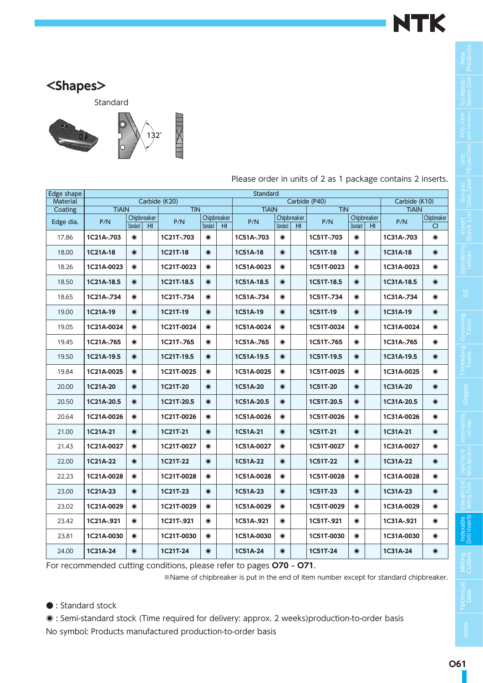

### **<Shapes>**

Standard



| Edge shape |              |           |                                |               |           |                                | Standard     |           |                                |               |           |                                |               |                    |
|------------|--------------|-----------|--------------------------------|---------------|-----------|--------------------------------|--------------|-----------|--------------------------------|---------------|-----------|--------------------------------|---------------|--------------------|
| Material   |              |           |                                | Carbide (K20) |           |                                |              |           |                                | Carbide (P40) |           |                                | Carbide (K10) |                    |
| Coating    | <b>TiAIN</b> |           |                                | <b>TiN</b>    |           |                                | <b>TiAIN</b> |           |                                | <b>TiN</b>    |           |                                | <b>TiAIN</b>  |                    |
| Edge dia.  | P/N          | Standard  | Chipbreaker<br>H <sub>II</sub> | P/N           | Standard  | Chipbreaker<br>H <sub>II</sub> | P/N          | Standard  | Chipbreaker<br>H <sub>II</sub> | P/N           | Standard  | Chipbreaker<br>H <sub>II</sub> | P/N           | Chipbreaker<br>CI. |
| 17.86      | 1C21A-.703   | $\bullet$ |                                | 1C21T-.703    | $\bullet$ |                                | 1C51A-.703   | $\bullet$ |                                | 1C51T-.703    | $\bullet$ |                                | 1C31A-.703    | $\bullet$          |
| 18.00      | 1C21A-18     | $\odot$   |                                | 1C21T-18      | $\odot$   |                                | 1C51A-18     | $\bullet$ |                                | 1C51T-18      | $\odot$   |                                | 1C31A-18      | $\odot$            |
| 18.26      | 1C21A-0023   | $\bullet$ |                                | 1C21T-0023    | $\bullet$ |                                | 1C51A-0023   | $\bullet$ |                                | 1C51T-0023    | $\bullet$ |                                | 1C31A-0023    | $\bullet$          |
| 18.50      | 1C21A-18.5   | $\bullet$ |                                | 1C21T-18.5    | $\bullet$ |                                | 1C51A-18.5   | $\bullet$ |                                | 1C51T-18.5    | $\bullet$ |                                | 1C31A-18.5    | $\bullet$          |
| 18.65      | 1C21A-.734   | $\bullet$ |                                | 1C21T-.734    | $\bullet$ |                                | 1C51A-.734   | $\bullet$ |                                | 1C51T-.734    | $\bullet$ |                                | 1C31A-.734    | $\bullet$          |
| 19.00      | 1C21A-19     | $\bullet$ |                                | 1C21T-19      | $\odot$   |                                | 1C51A-19     | $\bullet$ |                                | 1C51T-19      | $\bullet$ |                                | 1C31A-19      | $\odot$            |
| 19.05      | 1C21A-0024   | $\bullet$ |                                | 1C21T-0024    | $\bullet$ |                                | 1C51A-0024   | $\bullet$ |                                | 1C51T-0024    | $\bullet$ |                                | 1C31A-0024    | $\bullet$          |
| 19.45      | 1C21A-.765   | $\bullet$ |                                | 1C21T-.765    | $\bullet$ |                                | 1C51A-.765   | $\bullet$ |                                | 1C51T-.765    | $\bullet$ |                                | 1C31A-.765    | $\bullet$          |
| 19.50      | 1C21A-19.5   | $\odot$   |                                | 1C21T-19.5    | $\odot$   |                                | 1C51A-19.5   | $\odot$   |                                | 1C51T-19.5    | $\bullet$ |                                | 1C31A-19.5    | $\odot$            |
| 19.84      | 1C21A-0025   | $\odot$   |                                | 1C21T-0025    | $\odot$   |                                | 1C51A-0025   | $\bullet$ |                                | 1C51T-0025    | $\odot$   |                                | 1C31A-0025    | $\bullet$          |
| 20.00      | 1C21A-20     | $\bullet$ |                                | 1C21T-20      | $\odot$   |                                | 1C51A-20     | $\odot$   |                                | 1C51T-20      | $\bullet$ |                                | 1C31A-20      | $\odot$            |
| 20.50      | 1C21A-20.5   | $\bullet$ |                                | 1C21T-20.5    | $\odot$   |                                | 1C51A-20.5   | $\odot$   |                                | 1C51T-20.5    | $\bullet$ |                                | 1C31A-20.5    | $\odot$            |
| 20.64      | 1C21A-0026   | $\odot$   |                                | 1C21T-0026    | $\odot$   |                                | 1C51A-0026   | $\bullet$ |                                | 1C51T-0026    | $\odot$   |                                | 1C31A-0026    | $\bullet$          |
| 21.00      | 1C21A-21     | $\bullet$ |                                | 1C21T-21      | $\odot$   |                                | 1C51A-21     | $\odot$   |                                | 1C51T-21      | $\bullet$ |                                | 1C31A-21      | $\odot$            |
| 21.43      | 1C21A-0027   | $\odot$   |                                | 1C21T-0027    | $\bullet$ |                                | 1C51A-0027   | $\bullet$ |                                | 1C51T-0027    | $\bullet$ |                                | 1C31A-0027    | $\bullet$          |
| 22.00      | 1C21A-22     | $\odot$   |                                | 1C21T-22      | $\odot$   |                                | 1C51A-22     | $\odot$   |                                | 1C51T-22      | $\bullet$ |                                | 1C31A-22      | $\odot$            |
| 22.23      | 1C21A-0028   | $\odot$   |                                | 1C21T-0028    | $\bullet$ |                                | 1C51A-0028   | $\bullet$ |                                | 1C51T-0028    | $\bullet$ |                                | 1C31A-0028    | $\bullet$          |
| 23.00      | 1C21A-23     | $\bullet$ |                                | 1C21T-23      | $\bullet$ |                                | 1C51A-23     | $\bullet$ |                                | 1C51T-23      | $\bullet$ |                                | 1C31A-23      | $\odot$            |
| 23.02      | 1C21A-0029   | $\bullet$ |                                | 1C21T-0029    | $\bullet$ |                                | 1C51A-0029   | $\odot$   |                                | 1C51T-0029    | $\bullet$ |                                | 1C31A-0029    | $\bullet$          |
| 23.42      | 1C21A-.921   | $\odot$   |                                | 1C21T-.921    | $\odot$   |                                | 1C51A-.921   | $\bullet$ |                                | 1C51T-.921    | $\bullet$ |                                | 1C31A-.921    | $\bullet$          |
| 23.81      | 1C21A-0030   | $\bullet$ |                                | 1C21T-0030    | $\bullet$ |                                | 1C51A-0030   | $\bullet$ |                                | 1C51T-0030    | $\odot$   |                                | 1C31A-0030    | $\bullet$          |
| 24.00      | 1C21A-24     | $\odot$   |                                | 1C21T-24      | $\odot$   |                                | 1C51A-24     | $\odot$   |                                | 1C51T-24      | $\odot$   |                                | 1C31A-24      | $\bullet$          |

Please order in units of 2 as 1 package contains 2 inserts.

For recommended cutting conditions, please refer to pages **O70 – O71**.

※Name of chipbreaker is put in the end of item number except for standard chipbreaker.

● : Standard stock

◉ : Semi-standard stock (Time required for delivery: approx. 2 weeks)production-to-order basis No symbol: Products manufactured production-to-order basis

**Milling Cutters**

**Technical**<br>Data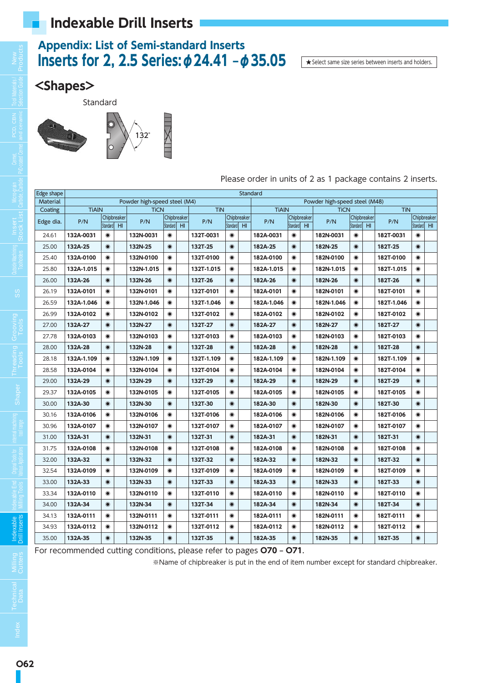### **Appendix: List of Semi-standard Inserts Inserts for 2, 2.5 Series:φ24.41 –φ35.05**

★Select same size series between inserts and holders.

### **<Shapes>**

Standard





Please order in units of 2 as 1 package contains 2 inserts.

| Edge shape      |              |           |                                |                              |           |                                |            |           |                                | <b>Standard</b> |                         |                 |                               |             |             |            |           |                                |
|-----------------|--------------|-----------|--------------------------------|------------------------------|-----------|--------------------------------|------------|-----------|--------------------------------|-----------------|-------------------------|-----------------|-------------------------------|-------------|-------------|------------|-----------|--------------------------------|
| <b>Material</b> |              |           |                                | Powder high-speed steel (M4) |           |                                |            |           |                                |                 |                         |                 | Powder high-speed steel (M48) |             |             |            |           |                                |
| Coating         | <b>TiAIN</b> |           |                                | <b>TiCN</b>                  |           |                                | <b>TiN</b> |           |                                | <b>TiAIN</b>    |                         |                 | <b>TiCN</b>                   |             |             | <b>TiN</b> |           |                                |
| Edge dia.       | P/N          | Standard  | Chipbreaker<br>H <sub>II</sub> | P/N                          | Standard  | Chipbreaker<br>H <sub>II</sub> | P/N        | Standard  | Chipbreaker<br>H <sub>II</sub> | P/N             | Chipbreaker<br>Standard | H <sub>II</sub> | P/N                           | Standard HI | Chipbreaker | P/N        | Standard  | Chipbreaker<br>H <sub>II</sub> |
|                 |              | $\bullet$ |                                |                              |           |                                |            |           |                                |                 |                         |                 |                               |             |             |            |           |                                |
| 24.61           | 132A-0031    |           |                                | 132N-0031                    | $\bullet$ |                                | 132T-0031  | $\odot$   |                                | 182A-0031       | $\bullet$               |                 | 182N-0031                     | $\odot$     |             | 182T-0031  | $\bullet$ |                                |
| 25.00           | 132A-25      | $\odot$   |                                | 132N-25                      | $\odot$   |                                | 132T-25    | $\odot$   |                                | 182A-25         | $\bullet$               |                 | 182N-25                       | $\bullet$   |             | 182T-25    | $\bullet$ |                                |
| 25.40           | 132A-0100    | $\odot$   |                                | 132N-0100                    | $\odot$   |                                | 132T-0100  | $\odot$   |                                | 182A-0100       | $\bullet$               |                 | 182N-0100                     | $\bullet$   |             | 182T-0100  | $\bullet$ |                                |
| 25.80           | 132A-1.015   | $\odot$   |                                | 132N-1.015                   | $\bullet$ |                                | 132T-1.015 | $\odot$   |                                | 182A-1.015      | $\bullet$               |                 | 182N-1.015                    | $\odot$     |             | 182T-1.015 | $\bullet$ |                                |
| 26.00           | 132A-26      | $\odot$   |                                | 132N-26                      | $\odot$   |                                | 132T-26    | $\odot$   |                                | 182A-26         | $\odot$                 |                 | 182N-26                       | $\odot$     |             | 182T-26    | $\odot$   |                                |
| 26.19           | 132A-0101    | $\odot$   |                                | 132N-0101                    | $\odot$   |                                | 132T-0101  | $\odot$   |                                | 182A-0101       | $\bullet$               |                 | 182N-0101                     | $\odot$     |             | 182T-0101  | $\odot$   |                                |
| 26.59           | 132A-1.046   | $\odot$   |                                | 132N-1.046                   | $\odot$   |                                | 132T-1.046 | $\odot$   |                                | 182A-1.046      | $\bullet$               |                 | 182N-1.046                    | $\odot$     |             | 182T-1.046 | $\bullet$ |                                |
| 26.99           | 132A-0102    | $\bullet$ |                                | 132N-0102                    | $\odot$   |                                | 132T-0102  | $\odot$   |                                | 182A-0102       | $\bullet$               |                 | 182N-0102                     | $\bullet$   |             | 182T-0102  | $\odot$   |                                |
| 27.00           | 132A-27      | $\odot$   |                                | 132N-27                      | $\odot$   |                                | 132T-27    | $\odot$   |                                | 182A-27         | $\bullet$               |                 | 182N-27                       | $\odot$     |             | 182T-27    | $\odot$   |                                |
| 27.78           | 132A-0103    | $\bullet$ |                                | 132N-0103                    | $\odot$   |                                | 132T-0103  | $\bullet$ |                                | 182A-0103       | $\bullet$               |                 | 182N-0103                     | $\bullet$   |             | 182T-0103  | $\bullet$ |                                |
| 28.00           | 132A-28      | $\odot$   |                                | 132N-28                      | $\odot$   |                                | 132T-28    | $\odot$   |                                | 182A-28         | $\odot$                 |                 | 182N-28                       | $\odot$     |             | 182T-28    | $\odot$   |                                |
| 28.18           | 132A-1.109   | $\odot$   |                                | 132N-1.109                   | $\odot$   |                                | 132T-1.109 | $\odot$   |                                | 182A-1.109      | $\bullet$               |                 | 182N-1.109                    | $\odot$     |             | 182T-1.109 | $\bullet$ |                                |
| 28.58           | 132A-0104    | $\bullet$ |                                | 132N-0104                    | $\odot$   |                                | 132T-0104  | $\bullet$ |                                | 182A-0104       | $\bullet$               |                 | 182N-0104                     | $\bullet$   |             | 182T-0104  | $\bullet$ |                                |
| 29.00           | 132A-29      | $\odot$   |                                | 132N-29                      | $\odot$   |                                | 132T-29    | $\odot$   |                                | 182A-29         | $\odot$                 |                 | 182N-29                       | $\odot$     |             | 182T-29    | $\odot$   |                                |
| 29.37           | 132A-0105    | $\odot$   |                                | 132N-0105                    | $\bullet$ |                                | 132T-0105  | $\bullet$ |                                | 182A-0105       | $\bullet$               |                 | 182N-0105                     | $\odot$     |             | 182T-0105  | $\bullet$ |                                |
| 30.00           | 132A-30      | $\odot$   |                                | 132N-30                      | $\odot$   |                                | 132T-30    | $\odot$   |                                | 182A-30         | $\odot$                 |                 | 182N-30                       | $\odot$     |             | 182T-30    | $\odot$   |                                |
| 30.16           | 132A-0106    | $\bullet$ |                                | 132N-0106                    | $\odot$   |                                | 132T-0106  | $\bullet$ |                                | 182A-0106       | $\bullet$               |                 | 182N-0106                     | $\bullet$   |             | 182T-0106  | $\bullet$ |                                |
| 30.96           | 132A-0107    | $\bullet$ |                                | 132N-0107                    | $\bullet$ |                                | 132T-0107  | $\bullet$ |                                | 182A-0107       | $\bullet$               |                 | 182N-0107                     | $\bullet$   |             | 182T-0107  | $\bullet$ |                                |
| 31.00           | 132A-31      | $\odot$   |                                | 132N-31                      | $\odot$   |                                | 132T-31    | $\odot$   |                                | 182A-31         | $\odot$                 |                 | 182N-31                       | $\odot$     |             | 182T-31    | $\bullet$ |                                |
| 31.75           | 132A-0108    | $\odot$   |                                | 132N-0108                    | $\odot$   |                                | 132T-0108  | $\odot$   |                                | 182A-0108       | $\bullet$               |                 | 182N-0108                     | $\odot$     |             | 182T-0108  | $\odot$   |                                |
| 32.00           | 132A-32      | $\odot$   |                                | 132N-32                      | $\odot$   |                                | 132T-32    | $\odot$   |                                | 182A-32         | $\odot$                 |                 | 182N-32                       | $\odot$     |             | 182T-32    | $\odot$   |                                |
| 32.54           | 132A-0109    | $\odot$   |                                | 132N-0109                    | $\odot$   |                                | 132T-0109  | $\bullet$ |                                | 182A-0109       | $\bullet$               |                 | 182N-0109                     | $\odot$     |             | 182T-0109  | $\bullet$ |                                |
| 33.00           | 132A-33      | $\odot$   |                                | 132N-33                      | $\odot$   |                                | 132T-33    | $\odot$   |                                | 182A-33         | $\odot$                 |                 | 182N-33                       | $\odot$     |             | 182T-33    | $\odot$   |                                |
| 33.34           | 132A-0110    | $\odot$   |                                | 132N-0110                    | $\odot$   |                                | 132T-0110  | $\bullet$ |                                | 182A-0110       | $\odot$                 |                 | 182N-0110                     | $\bullet$   |             | 182T-0110  | $\bullet$ |                                |
| 34.00           | 132A-34      | $\odot$   |                                | 132N-34                      | $\odot$   |                                | 132T-34    | $\odot$   |                                | 182A-34         | $\bullet$               |                 | 182N-34                       | $\odot$     |             | 182T-34    | $\bullet$ |                                |
| 34.13           | 132A-0111    | $\bullet$ |                                | 132N-0111                    | $\odot$   |                                | 132T-0111  | $\odot$   |                                | 182A-0111       | $\bullet$               |                 | 182N-0111                     | $\odot$     |             | 182T-0111  | $\bullet$ |                                |
| 34.93           | 132A-0112    | $\odot$   |                                | 132N-0112                    | $\bullet$ |                                | 132T-0112  | $\bullet$ |                                | 182A-0112       | $\bullet$               |                 | 182N-0112                     | $\odot$     |             | 182T-0112  | $\bullet$ |                                |
| 35.00           | 132A-35      | $\odot$   |                                | 132N-35                      | $\bullet$ |                                | 132T-35    | $\bullet$ |                                | 182A-35         | $\bullet$               |                 | 182N-35                       | $\bullet$   |             | 182T-35    | $\bullet$ |                                |

For recommended cutting conditions, please refer to pages **O70 – O71**.

※Name of chipbreaker is put in the end of item number except for standard chipbreaker.

**Shaper**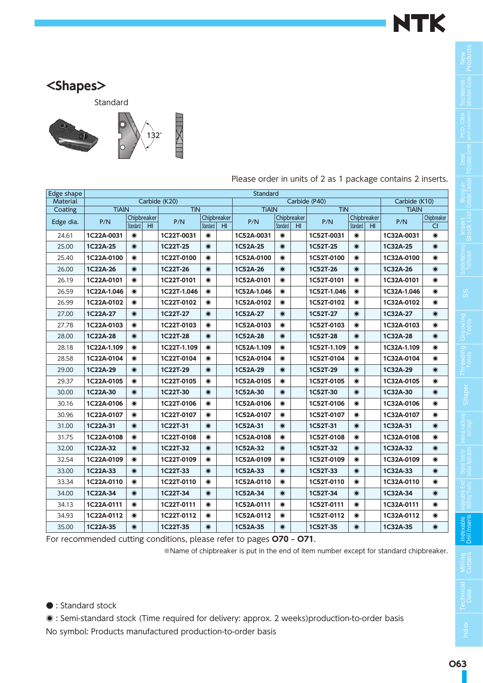

**New Products**

**Tool Materials / Selection Guide**

**PCD, CBN**

**Cermet, PVD-coated Cermet**

**Micro-grain Carbide, Carbide**

**Insert Stock List**

**Outside Machining Toolholders**

**SS**

Grooving<br>Tools

**Threading Tools**

**internal machining tool range**

**Original Tools for Various Applications Indexable End Milling Tools**

**Indexable Drill Inserts**

#### **<Shapes>**

Standard



| Edge shape      |              |           |                 |               |           |                 | Standard     |           |                |               |           |                 |               |             |
|-----------------|--------------|-----------|-----------------|---------------|-----------|-----------------|--------------|-----------|----------------|---------------|-----------|-----------------|---------------|-------------|
| <b>Material</b> |              |           |                 | Carbide (K20) |           |                 |              |           |                | Carbide (P40) |           |                 | Carbide (K10) |             |
| Coating         | <b>TiAIN</b> |           |                 | <b>TiN</b>    |           |                 | <b>TiAIN</b> |           |                | <b>TiN</b>    |           |                 | <b>TiAIN</b>  |             |
| Edge dia.       | P/N          |           | Chipbreaker     | P/N           |           | Chipbreaker     | P/N          |           | Chipbreaker    | P/N           |           | Chipbreaker     | P/N           | Chipbreaker |
|                 |              | Standard  | H <sub>II</sub> |               | Standard  | H <sub>II</sub> |              | Standard  | H <sub>1</sub> |               | Standard  | H <sub>II</sub> |               | CI.         |
| 24.61           | 1C22A-0031   | $\bullet$ |                 | 1C22T-0031    | $\odot$   |                 | 1C52A-0031   | $\odot$   |                | 1C52T-0031    | $\odot$   |                 | 1C32A-0031    | $\odot$     |
| 25.00           | 1C22A-25     | $\odot$   |                 | 1C22T-25      | $\odot$   |                 | 1C52A-25     | $\odot$   |                | 1C52T-25      | $\odot$   |                 | 1C32A-25      | $\odot$     |
| 25.40           | 1C22A-0100   | $\bullet$ |                 | 1C22T-0100    | $\odot$   |                 | 1C52A-0100   | $\odot$   |                | 1C52T-0100    | $\odot$   |                 | 1C32A-0100    | $\bullet$   |
| 26.00           | 1C22A-26     | $\bullet$ |                 | 1C22T-26      | $\odot$   |                 | 1C52A-26     | $\odot$   |                | 1C52T-26      | $\odot$   |                 | 1C32A-26      | $\odot$     |
| 26.19           | 1C22A-0101   | $\odot$   |                 | 1C22T-0101    | $\bullet$ |                 | 1C52A-0101   | $\odot$   |                | 1C52T-0101    | $\odot$   |                 | 1C32A-0101    | $\bullet$   |
| 26.59           | 1C22A-1.046  | $\odot$   |                 | 1C22T-1.046   | $\odot$   |                 | 1C52A-1.046  | $\bullet$ |                | 1C52T-1.046   | $\odot$   |                 | 1C32A-1.046   | $\odot$     |
| 26.99           | 1C22A-0102   | $\odot$   |                 | 1C22T-0102    | $\odot$   |                 | 1C52A-0102   | $\bullet$ |                | 1C52T-0102    | $\bullet$ |                 | 1C32A-0102    | $\odot$     |
| 27.00           | 1C22A-27     | $\odot$   |                 | 1C22T-27      | $\odot$   |                 | 1C52A-27     | $\odot$   |                | 1C52T-27      | $\odot$   |                 | 1C32A-27      | $\odot$     |
| 27.78           | 1C22A-0103   | $\odot$   |                 | 1C22T-0103    | $\odot$   |                 | 1C52A-0103   | $\bullet$ |                | 1C52T-0103    | $\odot$   |                 | 1C32A-0103    | $\bullet$   |
| 28.00           | 1C22A-28     | $\odot$   |                 | 1C22T-28      | $\odot$   |                 | 1C52A-28     | $\odot$   |                | 1C52T-28      | $\odot$   |                 | 1C32A-28      | $\odot$     |
| 28.18           | 1C22A-1.109  | $\odot$   |                 | 1C22T-1.109   | $\odot$   |                 | 1C52A-1.109  | $\odot$   |                | 1C52T-1.109   | $\odot$   |                 | 1C32A-1.109   | $\odot$     |
| 28.58           | 1C22A-0104   | $\odot$   |                 | 1C22T-0104    | $\odot$   |                 | 1C52A-0104   | $\odot$   |                | 1C52T-0104    | $\odot$   |                 | 1C32A-0104    | $\odot$     |
| 29.00           | 1C22A-29     | $\bullet$ |                 | 1C22T-29      | $\odot$   |                 | 1C52A-29     | $\odot$   |                | 1C52T-29      | $\odot$   |                 | 1C32A-29      | $\odot$     |
| 29.37           | 1C22A-0105   | $\bullet$ |                 | 1C22T-0105    | $\bullet$ |                 | 1C52A-0105   | $\odot$   |                | 1C52T-0105    | $\odot$   |                 | 1C32A-0105    | $\bullet$   |
| 30.00           | 1C22A-30     | $\odot$   |                 | 1C22T-30      | $\odot$   |                 | 1C52A-30     | $\odot$   |                | 1C52T-30      | $\odot$   |                 | 1C32A-30      | $\odot$     |
| 30.16           | 1C22A-0106   | $\bullet$ |                 | 1C22T-0106    | $\odot$   |                 | 1C52A-0106   | $\odot$   |                | 1C52T-0106    | $\bullet$ |                 | 1C32A-0106    | $\odot$     |
| 30.96           | 1C22A-0107   | $\bullet$ |                 | 1C22T-0107    | $\odot$   |                 | 1C52A-0107   | $\odot$   |                | 1C52T-0107    | $\bullet$ |                 | 1C32A-0107    | $\bullet$   |
| 31.00           | 1C22A-31     | $\odot$   |                 | 1C22T-31      | $\odot$   |                 | 1C52A-31     | $\odot$   |                | 1C52T-31      | $\odot$   |                 | 1C32A-31      | $\odot$     |
| 31.75           | 1C22A-0108   | $\bullet$ |                 | 1C22T-0108    | $\bullet$ |                 | 1C52A-0108   | $\bullet$ |                | 1C52T-0108    | $\odot$   |                 | 1C32A-0108    | $\bullet$   |
| 32.00           | 1C22A-32     | $\bullet$ |                 | 1C22T-32      | $\odot$   |                 | 1C52A-32     | $\odot$   |                | 1C52T-32      | $\odot$   |                 | 1C32A-32      | $\odot$     |
| 32.54           | 1C22A-0109   | $\bullet$ |                 | 1C22T-0109    | $\odot$   |                 | 1C52A-0109   | $\bullet$ |                | 1C52T-0109    | $\odot$   |                 | 1C32A-0109    | $\bullet$   |
| 33.00           | 1C22A-33     | $\odot$   |                 | 1C22T-33      | $\bullet$ |                 | 1C52A-33     | $\odot$   |                | 1C52T-33      | $\odot$   |                 | 1C32A-33      | $\odot$     |
| 33.34           | 1C22A-0110   | $\bullet$ |                 | 1C22T-0110    | $\odot$   |                 | 1C52A-0110   | $\odot$   |                | 1C52T-0110    | $\odot$   |                 | 1C32A-0110    | $\bullet$   |
| 34.00           | 1C22A-34     | $\odot$   |                 | 1C22T-34      | $\odot$   |                 | 1C52A-34     | $\odot$   |                | 1C52T-34      | $\odot$   |                 | 1C32A-34      | $\odot$     |
| 34.13           | 1C22A-0111   | $\bullet$ |                 | 1C22T-0111    | $\odot$   |                 | 1C52A-0111   | $\odot$   |                | 1C52T-0111    | $\odot$   |                 | 1C32A-0111    | $\odot$     |
| 34.93           | 1C22A-0112   | $\odot$   |                 | 1C22T-0112    | $\bullet$ |                 | 1C52A-0112   | $\odot$   |                | 1C52T-0112    | $\bullet$ |                 | 1C32A-0112    | $\bullet$   |
| 35.00           | 1C22A-35     | $\odot$   |                 | 1C22T-35      | $\odot$   |                 | 1C52A-35     | $\odot$   |                | 1C52T-35      | $\odot$   |                 | 1C32A-35      | $\odot$     |

Please order in units of 2 as 1 package contains 2 inserts.

For recommended cutting conditions, please refer to pages **O70 – O71**.

※Name of chipbreaker is put in the end of item number except for standard chipbreaker.

**Index**

● : Standard stock

◉ : Semi-standard stock (Time required for delivery: approx. 2 weeks)production-to-order basis No symbol: Products manufactured production-to-order basis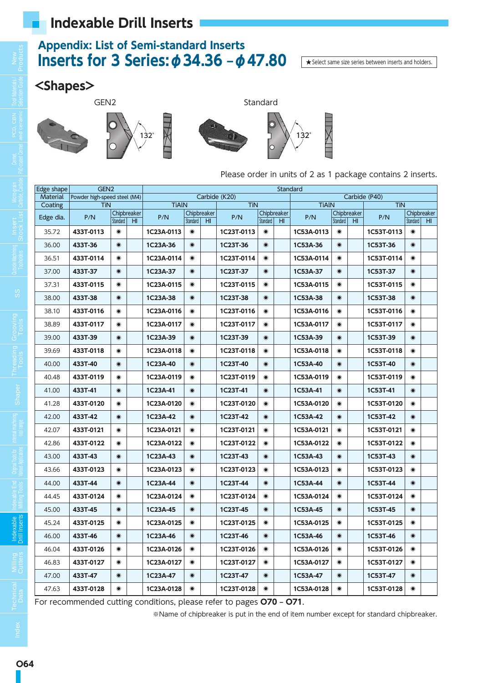### **Appendix: List of Semi-standard Inserts Inserts for 3 Series:φ34.36 –φ47.80**

★Select same size series between inserts and holders.

#### **<Shapes>**









Please order in units of 2 as 1 package contains 2 inserts.

 $\times$ 

| Edge shape      | GEN <sub>2</sub>             |           |                                |              |           |                                |               |           | Standard                       |              |           |                                |               |           |                                |
|-----------------|------------------------------|-----------|--------------------------------|--------------|-----------|--------------------------------|---------------|-----------|--------------------------------|--------------|-----------|--------------------------------|---------------|-----------|--------------------------------|
| <b>Material</b> | Powder high-speed steel (M4) |           |                                |              |           |                                | Carbide (K20) |           |                                |              |           |                                | Carbide (P40) |           |                                |
| Coating         | <b>TiN</b>                   |           |                                | <b>TiAIN</b> |           |                                | <b>TiN</b>    |           |                                | <b>TiAIN</b> |           |                                | <b>TiN</b>    |           |                                |
| Edge dia.       | P/N                          | Standard  | Chipbreaker<br>H <sub>II</sub> | P/N          | Standard  | Chipbreaker<br>H <sub>II</sub> | P/N           | Standard  | Chipbreaker<br>H <sub>II</sub> | P/N          | Standard  | Chipbreaker<br>H <sub>II</sub> | P/N           | Standard  | Chipbreaker<br>H <sub>II</sub> |
| 35.72           | 433T-0113                    | $\odot$   |                                | 1C23A-0113   | $\odot$   |                                | 1C23T-0113    | $\odot$   |                                | 1C53A-0113   | $\odot$   |                                | 1C53T-0113    | $\bullet$ |                                |
| 36.00           | 433T-36                      | $\odot$   |                                | 1C23A-36     | $\odot$   |                                | 1C23T-36      | $\odot$   |                                | 1C53A-36     | $\odot$   |                                | 1C53T-36      | $\odot$   |                                |
| 36.51           | 433T-0114                    | $\odot$   |                                | 1C23A-0114   | $\odot$   |                                | 1C23T-0114    | $\odot$   |                                | 1C53A-0114   | $\bullet$ |                                | 1C53T-0114    | $\odot$   |                                |
| 37.00           | 433T-37                      | $\odot$   |                                | 1C23A-37     | $\odot$   |                                | 1C23T-37      | $\odot$   |                                | 1C53A-37     | $\bullet$ |                                | 1C53T-37      | $\odot$   |                                |
| 37.31           | 433T-0115                    | $\bullet$ |                                | 1C23A-0115   | $\bullet$ |                                | 1C23T-0115    | $\odot$   |                                | 1C53A-0115   | $\odot$   |                                | 1C53T-0115    | $\bullet$ |                                |
| 38.00           | 433T-38                      | $\odot$   |                                | 1C23A-38     | $\odot$   |                                | 1C23T-38      | $\odot$   |                                | 1C53A-38     | $\odot$   |                                | 1C53T-38      | $\odot$   |                                |
| 38.10           | 433T-0116                    | $\bullet$ |                                | 1C23A-0116   | $\bullet$ |                                | 1C23T-0116    | $\bullet$ |                                | 1C53A-0116   | $\bullet$ |                                | 1C53T-0116    | $\bullet$ |                                |
| 38.89           | 433T-0117                    | $\bullet$ |                                | 1C23A-0117   | $\odot$   |                                | 1C23T-0117    | $\odot$   |                                | 1C53A-0117   | $\odot$   |                                | 1C53T-0117    | $\odot$   |                                |
| 39.00           | 433T-39                      | $\odot$   |                                | 1C23A-39     | $\odot$   |                                | 1C23T-39      | $\odot$   |                                | 1C53A-39     | $\odot$   |                                | 1C53T-39      | $\odot$   |                                |
| 39.69           | 433T-0118                    | $\bullet$ |                                | 1C23A-0118   | $\bullet$ |                                | 1C23T-0118    | $\bullet$ |                                | 1C53A-0118   | $\bullet$ |                                | 1C53T-0118    | $\odot$   |                                |
| 40.00           | 433T-40                      | $\odot$   |                                | 1C23A-40     | $\odot$   |                                | 1C23T-40      | $\odot$   |                                | 1C53A-40     | $\odot$   |                                | 1C53T-40      | $\odot$   |                                |
| 40.48           | 433T-0119                    | $\odot$   |                                | 1C23A-0119   | $\odot$   |                                | 1C23T-0119    | $\odot$   |                                | 1C53A-0119   | $\bullet$ |                                | 1C53T-0119    | $\odot$   |                                |
| 41.00           | 433T-41                      | $\odot$   |                                | 1C23A-41     | $\odot$   |                                | 1C23T-41      | $\odot$   |                                | 1C53A-41     | $\odot$   |                                | 1C53T-41      | $\odot$   |                                |
| 41.28           | 433T-0120                    | $\odot$   |                                | 1C23A-0120   | $\odot$   |                                | 1C23T-0120    | $\odot$   |                                | 1C53A-0120   | $\odot$   |                                | 1C53T-0120    | $\odot$   |                                |
| 42.00           | 433T-42                      | $\odot$   |                                | 1C23A-42     | $\odot$   |                                | 1C23T-42      | $\odot$   |                                | 1C53A-42     | $\odot$   |                                | 1C53T-42      | $\odot$   |                                |
| 42.07           | 433T-0121                    | $\bullet$ |                                | 1C23A-0121   | $\bullet$ |                                | 1C23T-0121    | $\bullet$ |                                | 1C53A-0121   | $\odot$   |                                | 1C53T-0121    | $\bullet$ |                                |
| 42.86           | 433T-0122                    | $\bullet$ |                                | 1C23A-0122   | $\bullet$ |                                | 1C23T-0122    | $\bullet$ |                                | 1C53A-0122   | $\odot$   |                                | 1C53T-0122    | $\bullet$ |                                |
| 43.00           | 433T-43                      | $\odot$   |                                | 1C23A-43     | $\odot$   |                                | 1C23T-43      | $\odot$   |                                | 1C53A-43     | $\odot$   |                                | 1C53T-43      | $\odot$   |                                |
| 43.66           | 433T-0123                    | $\bullet$ |                                | 1C23A-0123   | $\odot$   |                                | 1C23T-0123    | $\odot$   |                                | 1C53A-0123   | $\odot$   |                                | 1C53T-0123    | $\odot$   |                                |
| 44.00           | 433T-44                      | $\odot$   |                                | 1C23A-44     | $\odot$   |                                | 1C23T-44      | $\odot$   |                                | 1C53A-44     | $\odot$   |                                | 1C53T-44      | $\odot$   |                                |
| 44.45           | 433T-0124                    | $\bullet$ |                                | 1C23A-0124   | $\odot$   |                                | 1C23T-0124    | $\odot$   |                                | 1C53A-0124   | $\odot$   |                                | 1C53T-0124    | $\bullet$ |                                |
| 45.00           | 433T-45                      | $\odot$   |                                | 1C23A-45     | $\odot$   |                                | 1C23T-45      | $\odot$   |                                | 1C53A-45     | $\bullet$ |                                | 1C53T-45      | $\odot$   |                                |
| 45.24           | 433T-0125                    | $\odot$   |                                | 1C23A-0125   | $\bullet$ |                                | 1C23T-0125    | $\bullet$ |                                | 1C53A-0125   | $\bullet$ |                                | 1C53T-0125    | $\bullet$ |                                |
| 46.00           | 433T-46                      | $\odot$   |                                | 1C23A-46     | $\odot$   |                                | 1C23T-46      | $\odot$   |                                | 1C53A-46     | $\odot$   |                                | 1C53T-46      | $\odot$   |                                |
| 46.04           | 433T-0126                    | $\bullet$ |                                | 1C23A-0126   | $\odot$   |                                | 1C23T-0126    | $\odot$   |                                | 1C53A-0126   | $\bullet$ |                                | 1C53T-0126    | $\odot$   |                                |
| 46.83           | 433T-0127                    | $\bullet$ |                                | 1C23A-0127   | $\odot$   |                                | 1C23T-0127    | $\odot$   |                                | 1C53A-0127   | $\bullet$ |                                | 1C53T-0127    | $\odot$   |                                |
| 47.00           | 433T-47                      | $\odot$   |                                | 1C23A-47     | $\odot$   |                                | 1C23T-47      | $\odot$   |                                | 1C53A-47     | $\odot$   |                                | 1C53T-47      | $\odot$   |                                |
| 47.63           | 433T-0128                    | $\bullet$ |                                | 1C23A-0128   | $\bullet$ |                                | 1C23T-0128    | $\odot$   |                                | 1C53A-0128   | $\odot$   |                                | 1C53T-0128    | $\bullet$ |                                |

For recommended cutting conditions, please refer to pages **O70 – O71**.

※Name of chipbreaker is put in the end of item number except for standard chipbreaker.